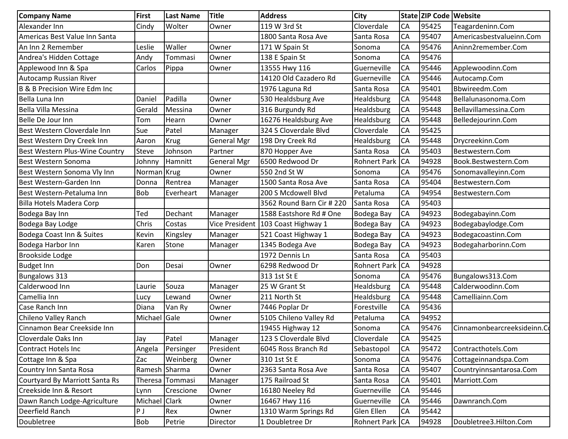| <b>Company Name</b>                     | First        | <b>Last Name</b> | <b>Title</b>       | <b>Address</b>                     | <b>City</b>         |           | State ZIP Code Website |                             |
|-----------------------------------------|--------------|------------------|--------------------|------------------------------------|---------------------|-----------|------------------------|-----------------------------|
| Alexander Inn                           | Cindy        | Wolter           | Owner              | 119 W 3rd St                       | Cloverdale          | <b>CA</b> | 95425                  | Teagardeninn.Com            |
| Americas Best Value Inn Santa           |              |                  |                    | 1800 Santa Rosa Ave                | Santa Rosa          | CA        | 95407                  | Americasbestvalueinn.Com    |
| An Inn 2 Remember                       | Leslie       | Waller           | Owner              | 171 W Spain St                     | Sonoma              | CA        | 95476                  | Aninn2remember.Com          |
| Andrea's Hidden Cottage                 | Andy         | Tommasi          | Owner              | 138 E Spain St                     | Sonoma              | CA        | 95476                  |                             |
| Applewood Inn & Spa                     | Carlos       | Pippa            | Owner              | 13555 Hwy 116                      | Guerneville         | CA        | 95446                  | Applewoodinn.Com            |
| Autocamp Russian River                  |              |                  |                    | 14120 Old Cazadero Rd              | Guerneville         | CA        | 95446                  | Autocamp.Com                |
| <b>B &amp; B Precision Wire Edm Inc</b> |              |                  |                    | 1976 Laguna Rd                     | Santa Rosa          | <b>CA</b> | 95401                  | Bbwireedm.Com               |
| Bella Luna Inn                          | Daniel       | Padilla          | Owner              | 530 Healdsburg Ave                 | Healdsburg          | CA        | 95448                  | Bellalunasonoma.Com         |
| Bella Villa Messina                     | Gerald       | Messina          | Owner              | 316 Burgundy Rd                    | Healdsburg          | CA        | 95448                  | Bellavillamessina.Com       |
| Belle De Jour Inn                       | Tom          | Hearn            | Owner              | 16276 Healdsburg Ave               | Healdsburg          | CA        | 95448                  | Belledejourinn.Com          |
| Best Western Cloverdale Inn             | Sue          | Patel            | Manager            | 324 S Cloverdale Blvd              | Cloverdale          | <b>CA</b> | 95425                  |                             |
| Best Western Dry Creek Inn              | Aaron        | <b>Krug</b>      | <b>General Mgr</b> | 198 Dry Creek Rd                   | Healdsburg          | <b>CA</b> | 95448                  | Drycreekinn.Com             |
| Best Western Plus-Wine Country          | <b>Steve</b> | Johnson          | Partner            | 870 Hopper Ave                     | Santa Rosa          | <b>CA</b> | 95403                  | Bestwestern.Com             |
| Best Western Sonoma                     | Johnny       | Hamnitt          | <b>General Mgr</b> | 6500 Redwood Dr                    | Rohnert Park CA     |           | 94928                  | Book.Bestwestern.Com        |
| Best Western Sonoma Vly Inn             | Norman Krug  |                  | Owner              | 550 2nd St W                       | Sonoma              | CA        | 95476                  | Sonomavalleyinn.Com         |
| Best Western-Garden Inn                 | Donna        | Rentrea          | Manager            | 1500 Santa Rosa Ave                | Santa Rosa          | <b>CA</b> | 95404                  | Bestwestern.Com             |
| Best Western-Petaluma Inn               | <b>Bob</b>   | Everheart        | Manager            | 200 S Mcdowell Blvd                | Petaluma            | CA        | 94954                  | Bestwestern.Com             |
| Billa Hotels Madera Corp                |              |                  |                    | 3562 Round Barn Cir # 220          | Santa Rosa          | <b>CA</b> | 95403                  |                             |
| Bodega Bay Inn                          | Ted          | Dechant          | Manager            | 1588 Eastshore Rd # One            | Bodega Bay          | <b>CA</b> | 94923                  | Bodegabayinn.Com            |
| Bodega Bay Lodge                        | Chris        | Costas           |                    | Vice President 103 Coast Highway 1 | Bodega Bay          | <b>CA</b> | 94923                  | Bodegabaylodge.Com          |
| Bodega Coast Inn & Suites               | Kevin        | Kingsley         | Manager            | 521 Coast Highway 1                | Bodega Bay          | <b>CA</b> | 94923                  | Bodegacoastinn.Com          |
| Bodega Harbor Inn                       | Karen        | Stone            | Manager            | 1345 Bodega Ave                    | Bodega Bay          | CA        | 94923                  | Bodegaharborinn.Com         |
| <b>Brookside Lodge</b>                  |              |                  |                    | 1972 Dennis Ln                     | Santa Rosa          | <b>CA</b> | 95403                  |                             |
| <b>Budget Inn</b>                       | Don          | Desai            | Owner              | 6298 Redwood Dr                    | <b>Rohnert Park</b> | <b>CA</b> | 94928                  |                             |
| <b>Bungalows 313</b>                    |              |                  |                    | 313 1st St E                       | Sonoma              | <b>CA</b> | 95476                  | Bungalows313.Com            |
| Calderwood Inn                          | Laurie       | Souza            | Manager            | 25 W Grant St                      | Healdsburg          | <b>CA</b> | 95448                  | Calderwoodinn.Com           |
| Camellia Inn                            | Lucy         | Lewand           | Owner              | 211 North St                       | Healdsburg          | <b>CA</b> | 95448                  | Camelliainn.Com             |
| Case Ranch Inn                          | Diana        | Van Ry           | Owner              | 7446 Poplar Dr                     | Forestville         | CA        | 95436                  |                             |
| Chileno Valley Ranch                    | Michael      | Gale             | Owner              | 5105 Chileno Valley Rd             | Petaluma            | CA        | 94952                  |                             |
| Cinnamon Bear Creekside Inn             |              |                  |                    | 19455 Highway 12                   | Sonoma              | <b>CA</b> | 95476                  | Cinnamonbearcreeksideinn.Co |
| Cloverdale Oaks Inn                     | Jay          | Patel            | Manager            | 123 S Cloverdale Blvd              | Cloverdale          | CA        | 95425                  |                             |
| <b>Contract Hotels Inc</b>              | Angela       | Persinger        | President          | 6045 Ross Branch Rd                | Sebastopol          | <b>CA</b> | 95472                  | Contracthotels.Com          |
| Cottage Inn & Spa                       | Zac          | Weinberg         | Owner              | 310 1st St E                       | Sonoma              | <b>CA</b> | 95476                  | Cottageinnandspa.Com        |
| Country Inn Santa Rosa                  | Ramesh       | Sharma           | Owner              | 2363 Santa Rosa Ave                | Santa Rosa          | CA        | 95407                  | Countryinnsantarosa.Com     |
| Courtyard By Marriott Santa Rs          | Theresa      | Tommasi          | Manager            | 175 Railroad St                    | Santa Rosa          | CA        | 95401                  | Marriott.Com                |
| Creekside Inn & Resort                  | Lynn         | Crescione        | Owner              | 16180 Neeley Rd                    | Guerneville         | <b>CA</b> | 95446                  |                             |
| Dawn Ranch Lodge-Agriculture            | Michael      | Clark            | Owner              | 16467 Hwy 116                      | Guerneville         | <b>CA</b> | 95446                  | Dawnranch.Com               |
| Deerfield Ranch                         | P J          | Rex              | Owner              | 1310 Warm Springs Rd               | Glen Ellen          | <b>CA</b> | 95442                  |                             |
| Doubletree                              | Bob          | Petrie           | Director           | 1 Doubletree Dr                    | Rohnert Park CA     |           | 94928                  | Doubletree3.Hilton.Com      |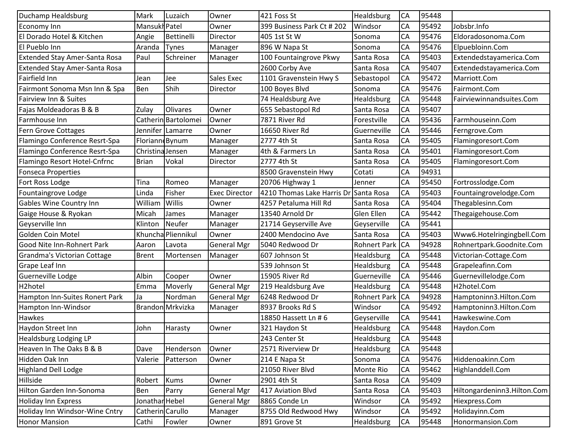| Duchamp Healdsburg                   | Mark             | Luzaich             | Owner                | 421 Foss St                | Healdsburg          | CA        | 95448 |                             |
|--------------------------------------|------------------|---------------------|----------------------|----------------------------|---------------------|-----------|-------|-----------------------------|
| Economy Inn                          | Mansukh Patel    |                     | Owner                | 399 Business Park Ct # 202 | Windsor             | <b>CA</b> | 95492 | Jobsbr.Info                 |
| El Dorado Hotel & Kitchen            | Angie            | Bettinelli          | Director             | 405 1st St W               | Sonoma              | <b>CA</b> | 95476 | Eldoradosonoma.Com          |
| El Pueblo Inn                        | Aranda           | Tynes               | Manager              | 896 W Napa St              | Sonoma              | <b>CA</b> | 95476 | Elpuebloinn.Com             |
| <b>Extended Stay Amer-Santa Rosa</b> | Paul             | Schreiner           | Manager              | 100 Fountaingrove Pkwy     | Santa Rosa          | CA        | 95403 | Extendedstayamerica.Com     |
| <b>Extended Stay Amer-Santa Rosa</b> |                  |                     |                      | 2600 Corby Ave             | Santa Rosa          | CA        | 95407 | Extendedstayamerica.Com     |
| Fairfield Inn                        | Jean             | Jee                 | Sales Exec           | 1101 Gravenstein Hwy S     | Sebastopol          | <b>CA</b> | 95472 | Marriott.Com                |
| Fairmont Sonoma Msn Inn & Spa        | Ben              | Shih                | Director             | 100 Boyes Blvd             | Sonoma              | <b>CA</b> | 95476 | Fairmont.Com                |
| Fairview Inn & Suites                |                  |                     |                      | 74 Healdsburg Ave          | Healdsburg          | CA        | 95448 | Fairviewinnandsuites.Com    |
| Fajas Moldeadoras B & B              | Zulay            | <b>Olivares</b>     | Owner                | 655 Sebastopol Rd          | Santa Rosa          | <b>CA</b> | 95407 |                             |
| Farmhouse Inn                        |                  | Catherin Bartolomei | Owner                | 7871 River Rd              | Forestville         | CA        | 95436 | Farmhouseinn.Com            |
| <b>Fern Grove Cottages</b>           | Jennifer         | Lamarre             | Owner                | 16650 River Rd             | Guerneville         | <b>CA</b> | 95446 | Ferngrove.Com               |
| Flamingo Conference Resrt-Spa        | Floriann Bynum   |                     | Manager              | 2777 4th St                | Santa Rosa          | <b>CA</b> | 95405 | Flamingoresort.Com          |
| Flamingo Conference Resrt-Spa        | Christina Jensen |                     | Manager              | 4th & Farmers Ln           | Santa Rosa          | <b>CA</b> | 95401 | Flamingoresort.Com          |
| Flamingo Resort Hotel-Cnfrnc         | <b>Brian</b>     | Vokal               | Director             | 2777 4th St                | Santa Rosa          | <b>CA</b> | 95405 | Flamingoresort.Com          |
| <b>Fonseca Properties</b>            |                  |                     |                      | 8500 Gravenstein Hwy       | Cotati              | <b>CA</b> | 94931 |                             |
| Fort Ross Lodge                      | Tina             | Romeo               | Manager              | 20706 Highway 1            | Jenner              | CA        | 95450 | Fortrosslodge.Com           |
| Fountaingrove Lodge                  | Linda            | Fisher              | <b>Exec Director</b> | 4210 Thomas Lake Harris Dr | Santa Rosa          | CA        | 95403 | Fountaingrovelodge.Com      |
| <b>Gables Wine Country Inn</b>       | William          | Willis              | Owner                | 4257 Petaluma Hill Rd      | Santa Rosa          | <b>CA</b> | 95404 | Thegablesinn.Com            |
| Gaige House & Ryokan                 | Micah            | James               | Manager              | 13540 Arnold Dr            | Glen Ellen          | <b>CA</b> | 95442 | Thegaigehouse.Com           |
| Geyserville Inn                      | Klinton          | <b>Neufer</b>       | Manager              | 21714 Geyserville Ave      | Geyserville         | <b>CA</b> | 95441 |                             |
| Golden Coin Motel                    |                  | Khuncha Pliennikul  | Owner                | 2400 Mendocino Ave         | Santa Rosa          | <b>CA</b> | 95403 | Www6.Hotelringingbell.Com   |
| Good Nite Inn-Rohnert Park           | Aaron            | Lavota              | <b>General Mgr</b>   | 5040 Redwood Dr            | <b>Rohnert Park</b> | <b>CA</b> | 94928 | Rohnertpark.Goodnite.Com    |
| Grandma's Victorian Cottage          | <b>Brent</b>     | Mortensen           | Manager              | 607 Johnson St             | Healdsburg          | CA        | 95448 | Victorian-Cottage.Com       |
| Grape Leaf Inn                       |                  |                     |                      | 539 Johnson St             | Healdsburg          | CA        | 95448 | Grapeleafinn.Com            |
| Guerneville Lodge                    | Albin            | Cooper              | Owner                | 15905 River Rd             | Guerneville         | <b>CA</b> | 95446 | Guernevillelodge.Com        |
| H <sub>2</sub> hotel                 | Emma             | Moverly             | <b>General Mgr</b>   | 219 Healdsburg Ave         | Healdsburg          | CA        | 95448 | H2hotel.Com                 |
| Hampton Inn-Suites Ronert Park       | Ja               | Nordman             | <b>General Mgr</b>   | 6248 Redwood Dr            | <b>Rohnert Park</b> | <b>CA</b> | 94928 | Hamptoninn3.Hilton.Com      |
| Hampton Inn-Windsor                  |                  | Brandon Mrkvizka    | Manager              | 8937 Brooks Rd S           | Windsor             | <b>CA</b> | 95492 | Hamptoninn3.Hilton.Com      |
| Hawkes                               |                  |                     |                      | 18850 Hassett Ln #6        | Geyserville         | CA        | 95441 | Hawkeswine.Com              |
| Haydon Street Inn                    | John             | Harasty             | Owner                | 321 Haydon St              | Healdsburg          | <b>CA</b> | 95448 | Haydon.Com                  |
| <b>Healdsburg Lodging LP</b>         |                  |                     |                      | 243 Center St              | Healdsburg          | <b>CA</b> | 95448 |                             |
| Heaven In The Oaks B & B             | Dave             | Henderson           | Owner                | 2571 Riverview Dr          | Healdsburg          | <b>CA</b> | 95448 |                             |
| Hidden Oak Inn                       | Valerie          | Patterson           | Owner                | 214 E Napa St              | Sonoma              | CA        | 95476 | Hiddenoakinn.Com            |
| <b>Highland Dell Lodge</b>           |                  |                     |                      | 21050 River Blvd           | Monte Rio           | CA        | 95462 | Highlanddell.Com            |
| Hillside                             | Robert           | <b>Kums</b>         | Owner                | 2901 4th St                | Santa Rosa          | CA        | 95409 |                             |
| Hilton Garden Inn-Sonoma             | Ben              | Parry               | <b>General Mgr</b>   | 417 Aviation Blvd          | Santa Rosa          | CA        | 95403 | Hiltongardeninn3.Hilton.Com |
| Holiday Inn Express                  | Jonathar Hebel   |                     | <b>General Mgr</b>   | 8865 Conde Ln              | Windsor             | CA        | 95492 | Hiexpress.Com               |
| Holiday Inn Windsor-Wine Cntry       | Catherin Carullo |                     | Manager              | 8755 Old Redwood Hwy       | Windsor             | CA        | 95492 | Holidayinn.Com              |
| <b>Honor Mansion</b>                 | Cathi            | Fowler              | Owner                | 891 Grove St               | Healdsburg          | <b>CA</b> | 95448 | Honormansion.Com            |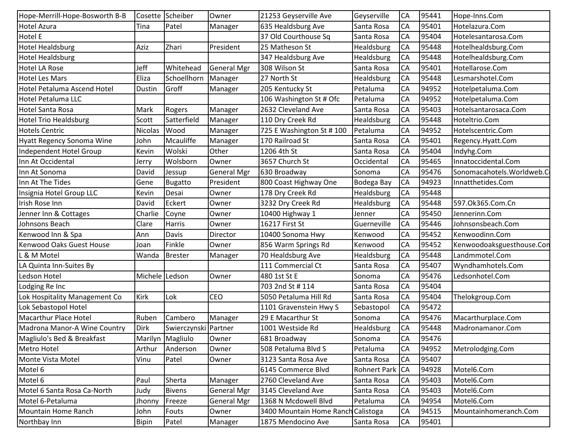| Hope-Merrill-Hope-Bosworth B-B | Cosette        | Scheiber             | Owner              | 21253 Geyserville Ave              | Geyserville         | <b>CA</b> | 95441 | Hope-Inns.Com              |
|--------------------------------|----------------|----------------------|--------------------|------------------------------------|---------------------|-----------|-------|----------------------------|
| Hotel Azura                    | Tina           | Patel                | Manager            | 635 Healdsburg Ave                 | Santa Rosa          | <b>CA</b> | 95401 | Hotelazura.Com             |
| Hotel E                        |                |                      |                    | 37 Old Courthouse Sq               | Santa Rosa          | CA        | 95404 | Hotelesantarosa.Com        |
| <b>Hotel Healdsburg</b>        | Aziz           | Zhari                | President          | 25 Matheson St                     | Healdsburg          | <b>CA</b> | 95448 | Hotelhealdsburg.Com        |
| <b>Hotel Healdsburg</b>        |                |                      |                    | 347 Healdsburg Ave                 | Healdsburg          | <b>CA</b> | 95448 | Hotelhealdsburg.Com        |
| Hotel LA Rose                  | Jeff           | Whitehead            | <b>General Mgr</b> | 308 Wilson St                      | Santa Rosa          | <b>CA</b> | 95401 | Hotellarose.Com            |
| Hotel Les Mars                 | Eliza          | Schoellhorn          | Manager            | 27 North St                        | Healdsburg          | <b>CA</b> | 95448 | Lesmarshotel.Com           |
| Hotel Petaluma Ascend Hotel    | Dustin         | Groff                | Manager            | 205 Kentucky St                    | Petaluma            | <b>CA</b> | 94952 | Hotelpetaluma.Com          |
| Hotel Petaluma LLC             |                |                      |                    | 106 Washington St # Ofc            | Petaluma            | CA        | 94952 | Hotelpetaluma.Com          |
| <b>Hotel Santa Rosa</b>        | Mark           | Rogers               | Manager            | 2632 Cleveland Ave                 | Santa Rosa          | <b>CA</b> | 95403 | Hotelsantarosaca.Com       |
| <b>Hotel Trio Healdsburg</b>   | Scott          | Satterfield          | Manager            | 110 Dry Creek Rd                   | Healdsburg          | CA        | 95448 | Hoteltrio.Com              |
| <b>Hotels Centric</b>          | <b>Nicolas</b> | Wood                 | Manager            | 725 E Washington St #100           | Petaluma            | <b>CA</b> | 94952 | Hotelscentric.Com          |
| Hyatt Regency Sonoma Wine      | John           | Mcauliffe            | Manager            | 170 Railroad St                    | Santa Rosa          | <b>CA</b> | 95401 | Regency.Hyatt.Com          |
| Independent Hotel Group        | Kevin          | Wolski               | Other              | 1206 4th St                        | Santa Rosa          | <b>CA</b> | 95404 | Indyhg.Com                 |
| Inn At Occidental              | Jerry          | Wolsborn             | Owner              | 3657 Church St                     | Occidental          | <b>CA</b> | 95465 | Innatoccidental.Com        |
| Inn At Sonoma                  | David          | Jessup               | <b>General Mgr</b> | 630 Broadway                       | Sonoma              | <b>CA</b> | 95476 | Sonomacahotels. Worldweb.C |
| Inn At The Tides               | Gene           | <b>Bugatto</b>       | President          | 800 Coast Highway One              | Bodega Bay          | <b>CA</b> | 94923 | Innatthetides.Com          |
| Insignia Hotel Group LLC       | Kevin          | Desai                | Owner              | 178 Dry Creek Rd                   | Healdsburg          | <b>CA</b> | 95448 |                            |
| Irish Rose Inn                 | David          | Eckert               | Owner              | 3232 Dry Creek Rd                  | Healdsburg          | <b>CA</b> | 95448 | 597.0k365.Com.Cn           |
| Jenner Inn & Cottages          | Charlie        | Coyne                | Owner              | 10400 Highway 1                    | Jenner              | <b>CA</b> | 95450 | Jennerinn.Com              |
| Johnsons Beach                 | Clare          | Harris               | Owner              | 16217 First St                     | Guerneville         | CA        | 95446 | Johnsonsbeach.Com          |
| Kenwood Inn & Spa              | Ann            | Davis                | Director           | 10400 Sonoma Hwy                   | Kenwood             | CA        | 95452 | Kenwoodinn.Com             |
| Kenwood Oaks Guest House       | Joan           | Finkle               | Owner              | 856 Warm Springs Rd                | Kenwood             | CA        | 95452 | Kenwoodoaksguesthouse.Con  |
| L & M Motel                    | Wanda          | <b>Brester</b>       | Manager            | 70 Healdsburg Ave                  | Healdsburg          | <b>CA</b> | 95448 | Landmmotel.Com             |
| LA Quinta Inn-Suites By        |                |                      |                    | 111 Commercial Ct                  | Santa Rosa          | CA        | 95407 | Wyndhamhotels.Com          |
| Ledson Hotel                   | Michele Ledson |                      | Owner              | 480 1st St E                       | Sonoma              | <b>CA</b> | 95476 | Ledsonhotel.Com            |
| Lodging Re Inc                 |                |                      |                    | 703 2nd St # 114                   | Santa Rosa          | CA        | 95404 |                            |
| Lok Hospitality Management Co  | Kirk           | Lok                  | <b>CEO</b>         | 5050 Petaluma Hill Rd              | Santa Rosa          | CA        | 95404 | Thelokgroup.Com            |
| Lok Sebastopol Hotel           |                |                      |                    | 1101 Gravenstein Hwy S             | Sebastopol          | <b>CA</b> | 95472 |                            |
| Macarthur Place Hotel          | Ruben          | Cambero              | Manager            | 29 E Macarthur St                  | Sonoma              | CA        | 95476 | Macarthurplace.Com         |
| Madrona Manor-A Wine Country   | <b>Dirk</b>    | Swierczynski Partner |                    | 1001 Westside Rd                   | Healdsburg          | <b>CA</b> | 95448 | Madronamanor.Com           |
| Magliulo's Bed & Breakfast     |                | Marilyn Magliulo     | Owner              | 681 Broadway                       | Sonoma              | CA        | 95476 |                            |
| Metro Hotel                    | Arthur         | Anderson             | Owner              | 508 Petaluma Blvd S                | Petaluma            | <b>CA</b> | 94952 | Metrolodging.Com           |
| Monte Vista Motel              | Vinu           | Patel                | Owner              | 3123 Santa Rosa Ave                | Santa Rosa          | CA        | 95407 |                            |
| Motel 6                        |                |                      |                    | 6145 Commerce Blvd                 | <b>Rohnert Park</b> | <b>CA</b> | 94928 | Motel6.Com                 |
| Motel 6                        | Paul           | Sherta               | Manager            | 2760 Cleveland Ave                 | Santa Rosa          | <b>CA</b> | 95403 | Motel6.Com                 |
| Motel 6 Santa Rosa Ca-North    | Judy           | <b>Bivens</b>        | <b>General Mgr</b> | 3145 Cleveland Ave                 | Santa Rosa          | CA        | 95403 | Motel6.Com                 |
| Motel 6-Petaluma               | Jhonny         | Freeze               | <b>General Mgr</b> | 1368 N Mcdowell Blvd               | Petaluma            | <b>CA</b> | 94954 | Motel6.Com                 |
| Mountain Home Ranch            | John           | Fouts                | Owner              | 3400 Mountain Home Ranch Calistoga |                     | CA        | 94515 | Mountainhomeranch.Com      |
| Northbay Inn                   | Bipin          | Patel                | Manager            | 1875 Mendocino Ave                 | Santa Rosa          | CA        | 95401 |                            |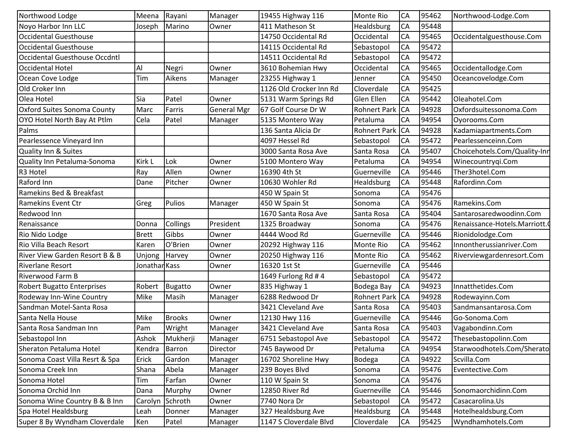| Northwood Lodge                           | Meena         | Rayani         | Manager            | 19455 Highway 116       | <b>Monte Rio</b>    | CA        | 95462 | Northwood-Lodge.Com          |
|-------------------------------------------|---------------|----------------|--------------------|-------------------------|---------------------|-----------|-------|------------------------------|
| Noyo Harbor Inn LLC                       | Joseph        | Marino         | Owner              | 411 Matheson St         | Healdsburg          | CA        | 95448 |                              |
| <b>Occidental Guesthouse</b>              |               |                |                    | 14750 Occidental Rd     | Occidental          | CA        | 95465 | Occidentalguesthouse.Com     |
| Occidental Guesthouse                     |               |                |                    | 14115 Occidental Rd     | Sebastopol          | CA        | 95472 |                              |
| <b>Occidental Guesthouse Occdntl</b>      |               |                |                    | 14511 Occidental Rd     | Sebastopol          | <b>CA</b> | 95472 |                              |
| Occidental Hotel                          | Al            | Negri          | Owner              | 3610 Bohemian Hwy       | Occidental          | CA        | 95465 | Occidentallodge.Com          |
| Ocean Cove Lodge                          | Tim           | Aikens         | Manager            | 23255 Highway 1         | Jenner              | CA        | 95450 | Oceancovelodge.Com           |
| Old Croker Inn                            |               |                |                    | 1126 Old Crocker Inn Rd | Cloverdale          | CA        | 95425 |                              |
| Olea Hotel                                | Sia           | Patel          | Owner              | 5131 Warm Springs Rd    | <b>Glen Ellen</b>   | CA        | 95442 | Oleahotel.Com                |
| <b>Oxford Suites Sonoma County</b>        | Marc          | Farris         | <b>General Mgr</b> | 67 Golf Course Dr W     | <b>Rohnert Park</b> | <b>CA</b> | 94928 | Oxfordsuitessonoma.Com       |
| OYO Hotel North Bay At Ptlm               | Cela          | Patel          | Manager            | 5135 Montero Way        | Petaluma            | CA        | 94954 | Oyorooms.Com                 |
| Palms                                     |               |                |                    | 136 Santa Alicia Dr     | <b>Rohnert Park</b> | <b>CA</b> | 94928 | Kadamiapartments.Com         |
| Pearlessence Vineyard Inn                 |               |                |                    | 4097 Hessel Rd          | Sebastopol          | <b>CA</b> | 95472 | Pearlessenceinn.Com          |
| <b>Quality Inn &amp; Suites</b>           |               |                |                    | 3000 Santa Rosa Ave     | Santa Rosa          | CA        | 95407 | Choicehotels.Com/Quality-Inn |
| Quality Inn Petaluma-Sonoma               | Kirk L        | Lok            | Owner              | 5100 Montero Way        | Petaluma            | CA        | 94954 | Winecountrygi.Com            |
| R3 Hotel                                  | Ray           | Allen          | Owner              | 16390 4th St            | Guerneville         | CA        | 95446 | Ther3hotel.Com               |
| Raford Inn                                | Dane          | Pitcher        | Owner              | 10630 Wohler Rd         | Healdsburg          | CA        | 95448 | Rafordinn.Com                |
| Ramekins Bed & Breakfast                  |               |                |                    | 450 W Spain St          | Sonoma              | CA        | 95476 |                              |
| <b>Ramekins Event Ctr</b>                 | Greg          | Pulios         | Manager            | 450 W Spain St          | Sonoma              | CA        | 95476 | Ramekins.Com                 |
| Redwood Inn                               |               |                |                    | 1670 Santa Rosa Ave     | Santa Rosa          | CA        | 95404 | Santarosaredwoodinn.Com      |
| Renaissance                               | Donna         | Collings       | President          | 1325 Broadway           | Sonoma              | CA        | 95476 | Renaissance-Hotels.Marriott. |
| Rio Nido Lodge                            | <b>Brett</b>  | Gibbs          | Owner              | 4444 Wood Rd            | Guerneville         | CA        | 95446 | Rionidolodge.Com             |
| Rio Villa Beach Resort                    | Karen         | O'Brien        | Owner              | 20292 Highway 116       | <b>Monte Rio</b>    | CA        | 95462 | Innontherussianriver.Com     |
| <b>River View Garden Resort B &amp; B</b> | Unjong        | Harvey         | Owner              | 20250 Highway 116       | <b>Monte Rio</b>    | CA        | 95462 | Riverviewgardenresort.Com    |
| Riverlane Resort                          | Jonathan Kass |                | Owner              | 16320 1st St            | Guerneville         | CA        | 95446 |                              |
| <b>Riverwood Farm B</b>                   |               |                |                    | 1649 Furlong Rd #4      | Sebastopol          | CA        | 95472 |                              |
| <b>Robert Bugatto Enterprises</b>         | Robert        | <b>Bugatto</b> | Owner              | 835 Highway 1           | Bodega Bay          | CA        | 94923 | Innatthetides.Com            |
| Rodeway Inn-Wine Country                  | Mike          | Masih          | Manager            | 6288 Redwood Dr         | <b>Rohnert Park</b> | <b>CA</b> | 94928 | Rodewayinn.Com               |
| Sandman Motel-Santa Rosa                  |               |                |                    | 3421 Cleveland Ave      | Santa Rosa          | <b>CA</b> | 95403 | Sandmansantarosa.Com         |
| Santa Nella House                         | Mike          | <b>Brooks</b>  | Owner              | 12130 Hwy 116           | Guerneville         | CA        | 95446 | Go-Sonoma.Com                |
| Santa Rosa Sandman Inn                    | Pam           | Wright         | Manager            | 3421 Cleveland Ave      | Santa Rosa          | CA        | 95403 | Vagabondinn.Com              |
| Sebastopol Inn                            | Ashok         | Mukherji       | Manager            | 6751 Sebastopol Ave     | Sebastopol          | <b>CA</b> | 95472 | Thesebastopolinn.Com         |
| Sheraton Petaluma Hotel                   | Kendra        | Barron         | Director           | 745 Baywood Dr          | Petaluma            | CA        | 94954 | Starwoodhotels.Com/Sherato   |
| Sonoma Coast Villa Resrt & Spa            | Erick         | Gardon         | Manager            | 16702 Shoreline Hwy     | Bodega              | CA        | 94922 | Scvilla.Com                  |
| Sonoma Creek Inn                          | Shana         | Abela          | Manager            | 239 Boyes Blvd          | Sonoma              | CA        | 95476 | Eventective.Com              |
| Sonoma Hotel                              | Tim           | Farfan         | Owner              | 110 W Spain St          | Sonoma              | CA        | 95476 |                              |
| Sonoma Orchid Inn                         | Dana          | Murphy         | Owner              | 12850 River Rd          | Guerneville         | CA        | 95446 | Sonomaorchidinn.Com          |
| Sonoma Wine Country B & B Inn             | Carolyn       | Schroth        | Owner              | 7740 Nora Dr            | Sebastopol          | CA        | 95472 | Casacarolina.Us              |
| Spa Hotel Healdsburg                      | Leah          | Donner         | Manager            | 327 Healdsburg Ave      | Healdsburg          | CA        | 95448 | Hotelhealdsburg.Com          |
| Super 8 By Wyndham Cloverdale             | Ken           | Patel          | Manager            | 1147 S Cloverdale Blvd  | Cloverdale          | CA        | 95425 | Wyndhamhotels.Com            |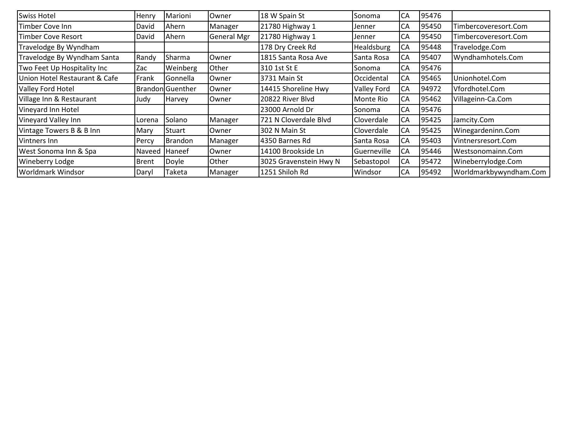| <b>Swiss Hotel</b>            | Henry  | Marioni                 | Owner              | 18 W Spain St          | Sonoma             | CA | 95476 |                        |
|-------------------------------|--------|-------------------------|--------------------|------------------------|--------------------|----|-------|------------------------|
| Timber Cove Inn               | David  | Ahern                   | Manager            | 21780 Highway 1        | Jenner             | CA | 95450 | Timbercoveresort.Com   |
| Timber Cove Resort            | David  | Ahern                   | <b>General Mgr</b> | 21780 Highway 1        | <b>Jenner</b>      | CA | 95450 | Timbercoveresort.Com   |
| Travelodge By Wyndham         |        |                         |                    | 178 Dry Creek Rd       | <b>Healdsburg</b>  | CA | 95448 | Travelodge.Com         |
| Travelodge By Wyndham Santa   | Randy  | Sharma                  | Owner              | 1815 Santa Rosa Ave    | Santa Rosa         | CA | 95407 | Wyndhamhotels.Com      |
| Two Feet Up Hospitality Inc   | Zac    | Weinberg                | Other              | 310 1st St E           | <b>Sonoma</b>      | CA | 95476 |                        |
| Union Hotel Restaurant & Cafe | Frank  | Gonnella                | Owner              | 3731 Main St           | Occidental         | CA | 95465 | Unionhotel.Com         |
| Valley Ford Hotel             |        | <b>Brandon</b> Guenther | Owner              | 14415 Shoreline Hwy    | Valley Ford        | CA | 94972 | Vfordhotel.Com         |
| Village Inn & Restaurant      | Judy   | Harvey                  | Owner              | 20822 River Blvd       | Monte Rio          | CA | 95462 | Villageinn-Ca.Com      |
| Vineyard Inn Hotel            |        |                         |                    | 23000 Arnold Dr        | <b>Sonoma</b>      | CA | 95476 |                        |
| Vineyard Valley Inn           | Lorena | Solano                  | Manager            | 721 N Cloverdale Blvd  | <b>Cloverdale</b>  | CA | 95425 | Jamcity.Com            |
| Vintage Towers B & B Inn      | Mary   | Stuart                  | Owner              | I302 N Main St         | <b>ICloverdale</b> | CA | 95425 | Winegardeninn.Com      |
| Vintners Inn                  | Percy  | <b>Brandon</b>          | Manager            | 14350 Barnes Rd        | <b>Santa Rosa</b>  | CA | 95403 | Vintnersresort.Com     |
| West Sonoma Inn & Spa         | Naveed | <b>Haneef</b>           | Owner              | 14100 Brookside Ln     | Guerneville        | CA | 95446 | Westsonomainn.Com      |
| <b>Wineberry Lodge</b>        | Brent  | Doyle                   | Other              | 3025 Gravenstein Hwy N | Sebastopol         | CA | 95472 | Wineberrylodge.Com     |
| Worldmark Windsor             | Daryl  | Taketa                  | Manager            | 1251 Shiloh Rd         | Windsor            | CA | 95492 | Worldmarkbywyndham.Com |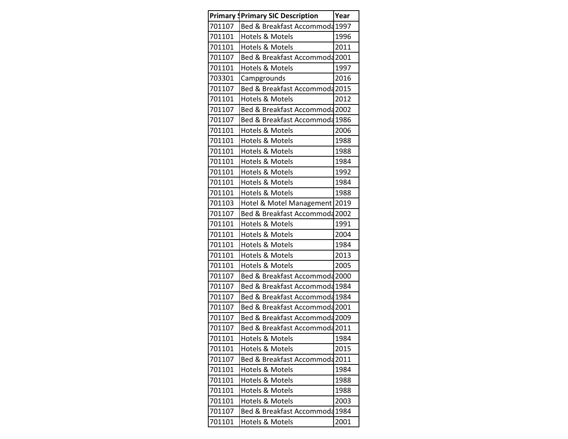|        | <b>Primary IPrimary SIC Description</b> | Year |
|--------|-----------------------------------------|------|
| 701107 | Bed & Breakfast Accommoda 1997          |      |
| 701101 | <b>Hotels &amp; Motels</b>              | 1996 |
| 701101 | <b>Hotels &amp; Motels</b>              | 2011 |
| 701107 | Bed & Breakfast Accommoda 2001          |      |
| 701101 | Hotels & Motels                         | 1997 |
| 703301 | Campgrounds                             | 2016 |
| 701107 | Bed & Breakfast Accommoda 2015          |      |
| 701101 | <b>Hotels &amp; Motels</b>              | 2012 |
| 701107 | Bed & Breakfast Accommoda 2002          |      |
| 701107 | Bed & Breakfast Accommoda 1986          |      |
| 701101 | <b>Hotels &amp; Motels</b>              | 2006 |
| 701101 | <b>Hotels &amp; Motels</b>              | 1988 |
| 701101 | <b>Hotels &amp; Motels</b>              | 1988 |
| 701101 | Hotels & Motels                         | 1984 |
| 701101 | Hotels & Motels                         | 1992 |
| 701101 | <b>Hotels &amp; Motels</b>              | 1984 |
| 701101 | Hotels & Motels                         | 1988 |
| 701103 | Hotel & Motel Management                | 2019 |
| 701107 | Bed & Breakfast Accommoda 2002          |      |
| 701101 | Hotels & Motels                         | 1991 |
| 701101 | <b>Hotels &amp; Motels</b>              | 2004 |
| 701101 | <b>Hotels &amp; Motels</b>              | 1984 |
| 701101 | <b>Hotels &amp; Motels</b>              | 2013 |
| 701101 | <b>Hotels &amp; Motels</b>              | 2005 |
| 701107 | Bed & Breakfast Accommoda 2000          |      |
| 701107 | Bed & Breakfast Accommoda 1984          |      |
| 701107 | Bed & Breakfast Accommoda 1984          |      |
| 701107 | Bed & Breakfast Accommoda 2001          |      |
| 701107 | Bed & Breakfast Accommoda 2009          |      |
| 701107 | Bed & Breakfast Accommoda 2011          |      |
| 701101 | Hotels & Motels                         | 1984 |
| 701101 | Hotels & Motels                         | 2015 |
| 701107 | Bed & Breakfast Accommoda 2011          |      |
| 701101 | <b>Hotels &amp; Motels</b>              | 1984 |
| 701101 | <b>Hotels &amp; Motels</b>              | 1988 |
| 701101 | <b>Hotels &amp; Motels</b>              | 1988 |
| 701101 | Hotels & Motels                         | 2003 |
| 701107 | Bed & Breakfast Accommoda 1984          |      |
| 701101 | Hotels & Motels                         | 2001 |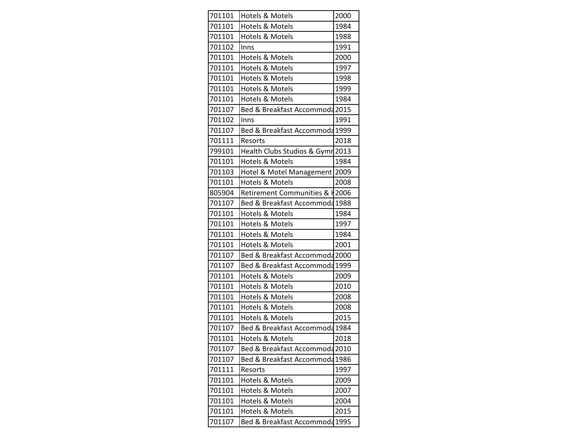| 701101 | <b>Hotels &amp; Motels</b>       | 2000 |
|--------|----------------------------------|------|
| 701101 | <b>Hotels &amp; Motels</b>       | 1984 |
| 701101 | Hotels & Motels                  | 1988 |
| 701102 | Inns                             | 1991 |
| 701101 | Hotels & Motels                  | 2000 |
| 701101 | <b>Hotels &amp; Motels</b>       | 1997 |
| 701101 | <b>Hotels &amp; Motels</b>       | 1998 |
| 701101 | Hotels & Motels                  | 1999 |
| 701101 | <b>Hotels &amp; Motels</b>       | 1984 |
| 701107 | Bed & Breakfast Accommoda 2015   |      |
| 701102 | Inns                             | 1991 |
| 701107 | Bed & Breakfast Accommoda 1999   |      |
| 701111 | Resorts                          | 2018 |
| 799101 | Health Clubs Studios & Gymr 2013 |      |
| 701101 | <b>Hotels &amp; Motels</b>       | 1984 |
| 701103 | Hotel & Motel Management         | 2009 |
| 701101 | <b>Hotels &amp; Motels</b>       | 2008 |
| 805904 | Retirement Communities & H2006   |      |
| 701107 | Bed & Breakfast Accommoda 1988   |      |
| 701101 | Hotels & Motels                  | 1984 |
| 701101 | Hotels & Motels                  | 1997 |
| 701101 | <b>Hotels &amp; Motels</b>       | 1984 |
| 701101 | <b>Hotels &amp; Motels</b>       | 2001 |
| 701107 | Bed & Breakfast Accommoda 2000   |      |
| 701107 | Bed & Breakfast Accommoda 1999   |      |
| 701101 | Hotels & Motels                  | 2009 |
| 701101 | <b>Hotels &amp; Motels</b>       | 2010 |
| 701101 | Hotels & Motels                  | 2008 |
| 701101 | Hotels & Motels                  | 2008 |
| 701101 | <b>Hotels &amp; Motels</b>       | 2015 |
| 701107 | Bed & Breakfast Accommoda 1984   |      |
| 701101 | Hotels & Motels                  | 2018 |
| 701107 | Bed & Breakfast Accommoda 2010   |      |
| 701107 | Bed & Breakfast Accommoda 1986   |      |
| 701111 | Resorts                          | 1997 |
| 701101 | Hotels & Motels                  | 2009 |
| 701101 | Hotels & Motels                  | 2007 |
| 701101 | Hotels & Motels                  | 2004 |
| 701101 | Hotels & Motels                  | 2015 |
| 701107 | Bed & Breakfast Accommoda 1995   |      |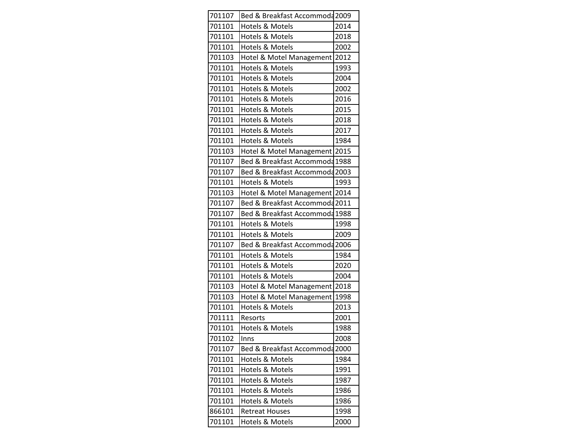| 701107 | Bed & Breakfast Accommoda 2009 |      |
|--------|--------------------------------|------|
| 701101 | Hotels & Motels                | 2014 |
| 701101 | Hotels & Motels                | 2018 |
| 701101 | Hotels & Motels                | 2002 |
| 701103 | Hotel & Motel Management       | 2012 |
| 701101 | <b>Hotels &amp; Motels</b>     | 1993 |
| 701101 | <b>Hotels &amp; Motels</b>     | 2004 |
| 701101 | <b>Hotels &amp; Motels</b>     | 2002 |
| 701101 | <b>Hotels &amp; Motels</b>     | 2016 |
| 701101 | Hotels & Motels                | 2015 |
| 701101 | Hotels & Motels                | 2018 |
| 701101 | <b>Hotels &amp; Motels</b>     | 2017 |
| 701101 | Hotels & Motels                | 1984 |
| 701103 | Hotel & Motel Management 2015  |      |
| 701107 | Bed & Breakfast Accommoda 1988 |      |
| 701107 | Bed & Breakfast Accommoda 2003 |      |
| 701101 | <b>Hotels &amp; Motels</b>     | 1993 |
| 701103 | Hotel & Motel Management 2014  |      |
| 701107 | Bed & Breakfast Accommoda 2011 |      |
| 701107 | Bed & Breakfast Accommoda 1988 |      |
| 701101 | <b>Hotels &amp; Motels</b>     | 1998 |
| 701101 | <b>Hotels &amp; Motels</b>     | 2009 |
| 701107 | Bed & Breakfast Accommoda 2006 |      |
| 701101 | <b>Hotels &amp; Motels</b>     | 1984 |
| 701101 | Hotels & Motels                | 2020 |
| 701101 | Hotels & Motels                | 2004 |
| 701103 | Hotel & Motel Management       | 2018 |
| 701103 | Hotel & Motel Management       | 1998 |
| 701101 | Hotels & Motels                | 2013 |
| 701111 | Resorts                        | 2001 |
| 701101 | <b>Hotels &amp; Motels</b>     | 1988 |
| 701102 | Inns                           | 2008 |
| 701107 | Bed & Breakfast Accommoda 2000 |      |
| 701101 | Hotels & Motels                | 1984 |
| 701101 | <b>Hotels &amp; Motels</b>     | 1991 |
| 701101 | Hotels & Motels                | 1987 |
| 701101 | <b>Hotels &amp; Motels</b>     | 1986 |
| 701101 | Hotels & Motels                | 1986 |
| 866101 | <b>Retreat Houses</b>          | 1998 |
| 701101 | Hotels & Motels                | 2000 |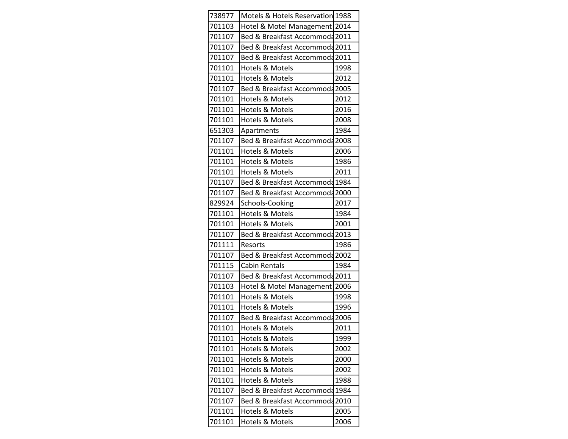| 738977 | Motels & Hotels Reservation 1988 |      |
|--------|----------------------------------|------|
| 701103 | Hotel & Motel Management 2014    |      |
| 701107 | Bed & Breakfast Accommoda 2011   |      |
| 701107 | Bed & Breakfast Accommoda 2011   |      |
| 701107 | Bed & Breakfast Accommoda 2011   |      |
| 701101 | <b>Hotels &amp; Motels</b>       | 1998 |
| 701101 | <b>Hotels &amp; Motels</b>       | 2012 |
| 701107 | Bed & Breakfast Accommoda 2005   |      |
| 701101 | Hotels & Motels                  | 2012 |
| 701101 | <b>Hotels &amp; Motels</b>       | 2016 |
| 701101 | <b>Hotels &amp; Motels</b>       | 2008 |
| 651303 | Apartments                       | 1984 |
| 701107 | Bed & Breakfast Accommoda 2008   |      |
| 701101 | Hotels & Motels                  | 2006 |
| 701101 | <b>Hotels &amp; Motels</b>       | 1986 |
| 701101 | Hotels & Motels                  | 2011 |
| 701107 | Bed & Breakfast Accommoda 1984   |      |
| 701107 | Bed & Breakfast Accommoda 2000   |      |
| 829924 | Schools-Cooking                  | 2017 |
| 701101 | Hotels & Motels                  | 1984 |
| 701101 | <b>Hotels &amp; Motels</b>       | 2001 |
| 701107 | Bed & Breakfast Accommoda 2013   |      |
| 701111 | Resorts                          | 1986 |
| 701107 | Bed & Breakfast Accommoda 2002   |      |
| 701115 | <b>Cabin Rentals</b>             | 1984 |
| 701107 | Bed & Breakfast Accommoda 2011   |      |
| 701103 | Hotel & Motel Management         | 2006 |
| 701101 | Hotels & Motels                  | 1998 |
| 701101 | <b>Hotels &amp; Motels</b>       | 1996 |
| 701107 | Bed & Breakfast Accommoda 2006   |      |
| 701101 | <b>Hotels &amp; Motels</b>       | 2011 |
| 701101 | Hotels & Motels                  | 1999 |
| 701101 | Hotels & Motels                  | 2002 |
| 701101 | Hotels & Motels                  | 2000 |
| 701101 | Hotels & Motels                  | 2002 |
| 701101 | Hotels & Motels                  | 1988 |
| 701107 | Bed & Breakfast Accommoda 1984   |      |
| 701107 | Bed & Breakfast Accommoda 2010   |      |
| 701101 | Hotels & Motels                  | 2005 |
| 701101 | Hotels & Motels                  | 2006 |